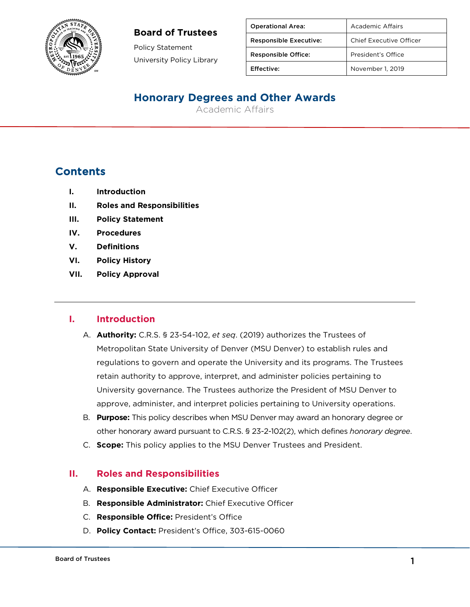

Policy Statement University Policy Library

| <b>Operational Area:</b>      | Academic Affairs        |
|-------------------------------|-------------------------|
| <b>Responsible Executive:</b> | Chief Executive Officer |
| <b>Responsible Office:</b>    | President's Office      |
| Effective:                    | November 1, 2019        |

# **Honorary Degrees and Other Awards**

Academic Affairs

# **Contents**

- **I. Introduction**
- **II. Roles and Responsibilities**
- **III. Policy Statement**
- **IV. Procedures**
- **V. Definitions**
- **VI. Policy History**
- **VII. Policy Approval**

### **I. Introduction**

- A. **Authority:** C.R.S. § 23-54-102, *et seq*. (2019) authorizes the Trustees of Metropolitan State University of Denver (MSU Denver) to establish rules and regulations to govern and operate the University and its programs. The Trustees retain authority to approve, interpret, and administer policies pertaining to University governance. The Trustees authorize the President of MSU Denver to approve, administer, and interpret policies pertaining to University operations.
- B. **Purpose:** This policy describes when MSU Denver may award an honorary degree or other honorary award pursuant to C.R.S. § 23-2-102(2), which defines *honorary degree*.
- C. **Scope:** This policy applies to the MSU Denver Trustees and President.

### **II. Roles and Responsibilities**

- A. **Responsible Executive:** Chief Executive Officer
- B. **Responsible Administrator:** Chief Executive Officer
- C. **Responsible Office:** President's Office
- D. **Policy Contact:** President's Office, 303-615-0060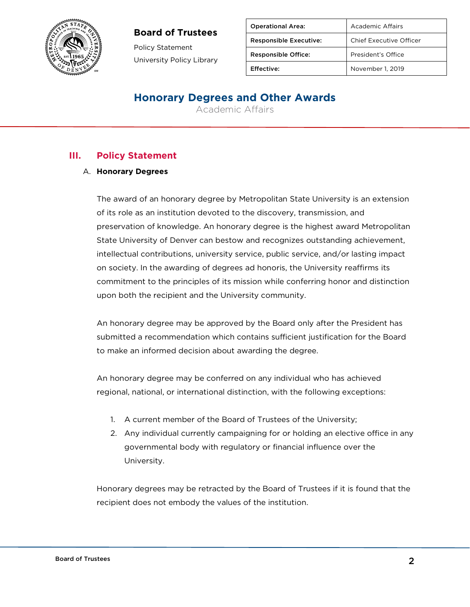

Policy Statement University Policy Library

| <b>Operational Area:</b>      | Academic Affairs               |
|-------------------------------|--------------------------------|
| <b>Responsible Executive:</b> | <b>Chief Executive Officer</b> |
| <b>Responsible Office:</b>    | President's Office             |
| Effective:                    | November 1, 2019               |

# **Honorary Degrees and Other Awards**

Academic Affairs

### **III. Policy Statement**

#### A. **Honorary Degrees**

The award of an honorary degree by Metropolitan State University is an extension of its role as an institution devoted to the discovery, transmission, and preservation of knowledge. An honorary degree is the highest award Metropolitan State University of Denver can bestow and recognizes outstanding achievement, intellectual contributions, university service, public service, and/or lasting impact on society. In the awarding of degrees ad honoris, the University reaffirms its commitment to the principles of its mission while conferring honor and distinction upon both the recipient and the University community.

An honorary degree may be approved by the Board only after the President has submitted a recommendation which contains sufficient justification for the Board to make an informed decision about awarding the degree.

An honorary degree may be conferred on any individual who has achieved regional, national, or international distinction, with the following exceptions:

- 1. A current member of the Board of Trustees of the University;
- 2. Any individual currently campaigning for or holding an elective office in any governmental body with regulatory or financial influence over the University.

Honorary degrees may be retracted by the Board of Trustees if it is found that the recipient does not embody the values of the institution.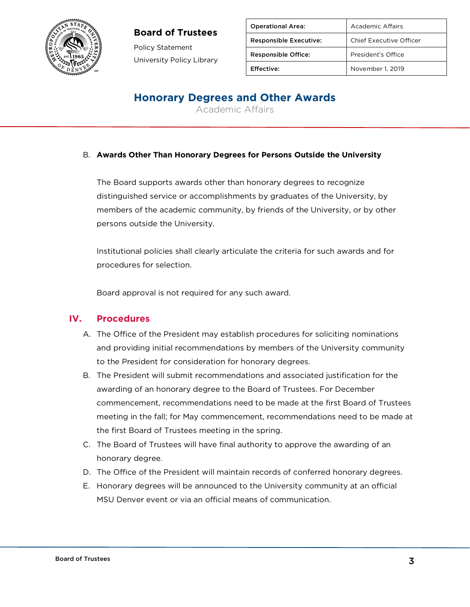

Policy Statement University Policy Library

| <b>Operational Area:</b>      | Academic Affairs        |
|-------------------------------|-------------------------|
| <b>Responsible Executive:</b> | Chief Executive Officer |
| <b>Responsible Office:</b>    | President's Office      |
| Effective:                    | November 1, 2019        |

# **Honorary Degrees and Other Awards**

Academic Affairs

#### B. **Awards Other Than Honorary Degrees for Persons Outside the University**

The Board supports awards other than honorary degrees to recognize distinguished service or accomplishments by graduates of the University, by members of the academic community, by friends of the University, or by other persons outside the University.

Institutional policies shall clearly articulate the criteria for such awards and for procedures for selection.

Board approval is not required for any such award.

#### **IV. Procedures**

- A. The Office of the President may establish procedures for soliciting nominations and providing initial recommendations by members of the University community to the President for consideration for honorary degrees.
- B. The President will submit recommendations and associated justification for the awarding of an honorary degree to the Board of Trustees. For December commencement, recommendations need to be made at the first Board of Trustees meeting in the fall; for May commencement, recommendations need to be made at the first Board of Trustees meeting in the spring.
- C. The Board of Trustees will have final authority to approve the awarding of an honorary degree.
- D. The Office of the President will maintain records of conferred honorary degrees.
- E. Honorary degrees will be announced to the University community at an official MSU Denver event or via an official means of communication.